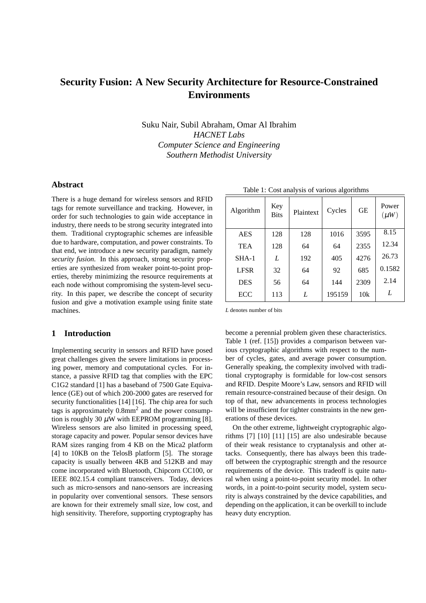# **Security Fusion: A New Security Architecture for Resource-Constrained Environments**

Suku Nair, Subil Abraham, Omar Al Ibrahim *HACNET Labs Computer Science and Engineering Southern Methodist University*

## **Abstract**

There is a huge demand for wireless sensors and RFID tags for remote surveillance and tracking. However, in order for such technologies to gain wide acceptance in industry, there needs to be strong security integrated into them. Traditional cryptographic schemes are infeasible due to hardware, computation, and power constraints. To that end, we introduce a new security paradigm, namely *security fusion*. In this approach, strong security properties are synthesized from weaker point-to-point properties, thereby minimizing the resource requirements at each node without compromising the system-level security. In this paper, we describe the concept of security fusion and give a motivation example using finite state machines.

## **1 Introduction**

Implementing security in sensors and RFID have posed great challenges given the severe limitations in processing power, memory and computational cycles. For instance, a passive RFID tag that complies with the EPC C1G2 standard [1] has a baseband of 7500 Gate Equivalence (GE) out of which 200-2000 gates are reserved for security functionalities [14] [16]. The chip area for such tags is approximately  $0.8$ mm<sup>2</sup> and the power consumption is roughly 30  $\mu$ W with EEPROM programming [8]. Wireless sensors are also limited in processing speed, storage capacity and power. Popular sensor devices have RAM sizes ranging from 4 KB on the Mica2 platform [4] to 10KB on the TelosB platform [5]. The storage capacity is usually between 4KB and 512KB and may come incorporated with Bluetooth, Chipcorn CC100, or IEEE 802.15.4 compliant transceivers. Today, devices such as micro-sensors and nano-sensors are increasing in popularity over conventional sensors. These sensors are known for their extremely small size, low cost, and high sensitivity. Therefore, supporting cryptography has

| Algorithm   | Key<br><b>Bits</b> | Plaintext | Cycles | <b>GE</b> | Power<br>$(\mu W)$ |
|-------------|--------------------|-----------|--------|-----------|--------------------|
| <b>AES</b>  | 128                | 128       | 1016   | 3595      | 8.15               |
| <b>TEA</b>  | 128                | 64        | 64     | 2355      | 12.34              |
| $SHA-1$     | L                  | 192       | 405    | 4276      | 26.73              |
| <b>LFSR</b> | 32                 | 64        | 92     | 685       | 0.1582             |
| <b>DES</b>  | 56                 | 64        | 144    | 2309      | 2.14               |
| ECC         | 113                | L         | 195159 | 10k       | L                  |

Table 1: Cost analysis of various algorithms

*L* denotes number of bits

become a perennial problem given these characteristics. Table 1 (ref. [15]) provides a comparison between various cryptographic algorithms with respect to the number of cycles, gates, and average power consumption. Generally speaking, the complexity involved with traditional cryptography is formidable for low-cost sensors and RFID. Despite Moore's Law, sensors and RFID will remain resource-constrained because of their design. On top of that, new advancements in process technologies will be insufficient for tighter constraints in the new generations of these devices.

On the other extreme, lightweight cryptographic algorithms [7] [10] [11] [15] are also undesirable because of their weak resistance to cryptanalysis and other attacks. Consequently, there has always been this tradeoff between the cryptographic strength and the resource requirements of the device. This tradeoff is quite natural when using a point-to-point security model. In other words, in a point-to-point security model, system security is always constrained by the device capabilities, and depending on the application, it can be overkill to include heavy duty encryption.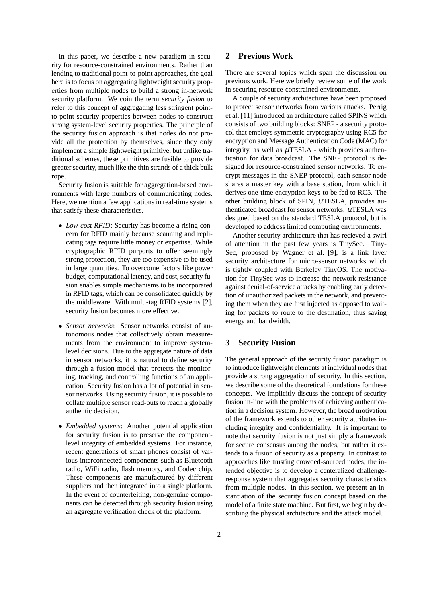In this paper, we describe a new paradigm in security for resource-constrained environments. Rather than lending to traditional point-to-point approaches, the goal here is to focus on aggregating lightweight security properties from multiple nodes to build a strong in-network security platform. We coin the term *security fusion* to refer to this concept of aggregating less stringent pointto-point security properties between nodes to construct strong system-level security properties. The principle of the security fusion approach is that nodes do not provide all the protection by themselves, since they only implement a simple lightweight primitive, but unlike traditional schemes, these primitives are fusible to provide greater security, much like the thin strands of a thick bulk rope.

Security fusion is suitable for aggregation-based environments with large numbers of communicating nodes. Here, we mention a few applications in real-time systems that satisfy these characteristics.

- *Low-cost RFID*: Security has become a rising concern for RFID mainly because scanning and replicating tags require little money or expertise. While cryptographic RFID purports to offer seemingly strong protection, they are too expensive to be used in large quantities. To overcome factors like power budget, computational latency, and cost, security fusion enables simple mechanisms to be incorporated in RFID tags, which can be consolidated quickly by the middleware. With multi-tag RFID systems [2], security fusion becomes more effective.
- *Sensor networks*: Sensor networks consist of autonomous nodes that collectively obtain measurements from the environment to improve systemlevel decisions. Due to the aggregate nature of data in sensor networks, it is natural to define security through a fusion model that protects the monitoring, tracking, and controlling functions of an application. Security fusion has a lot of potential in sensor networks. Using security fusion, it is possible to collate multiple sensor read-outs to reach a globally authentic decision.
- *Embedded systems*: Another potential application for security fusion is to preserve the componentlevel integrity of embedded systems. For instance, recent generations of smart phones consist of various interconnected components such as Bluetooth radio, WiFi radio, flash memory, and Codec chip. These components are manufactured by different suppliers and then integrated into a single platform. In the event of counterfeiting, non-genuine components can be detected through security fusion using an aggregate verification check of the platform.

# **2 Previous Work**

There are several topics which span the discussion on previous work. Here we briefly review some of the work in securing resource-constrained environments.

A couple of security architectures have been proposed to protect sensor networks from various attacks. Perrig et al. [11] introduced an architecture called SPINS which consists of two building blocks: SNEP - a security protocol that employs symmetric cryptography using RC5 for encryption and Message Authentication Code (MAC) for integrity, as well as  $\mu$ TESLA - which provides authentication for data broadcast. The SNEP protocol is designed for resource-constrained sensor networks. To encrypt messages in the SNEP protocol, each sensor node shares a master key with a base station, from which it derives one-time encryption keys to be fed to RC5. The other building block of SPIN,  $\mu$ TESLA, provides authenticated broadcast for sensor networks.  $\mu$ TESLA was designed based on the standard TESLA protocol, but is developed to address limited computing environments.

Another security architecture that has recieved a swirl of attention in the past few years is TinySec. Tiny-Sec, proposed by Wagner et al. [9], is a link layer security architecture for micro-sensor networks which is tightly coupled with Berkeley TinyOS. The motivation for TinySec was to increase the network resistance against denial-of-service attacks by enabling early detection of unauthorized packets in the network, and preventing them when they are first injected as opposed to waiting for packets to route to the destination, thus saving energy and bandwidth.

# **3 Security Fusion**

The general approach of the security fusion paradigm is to introduce lightweight elements at individual nodes that provide a strong aggregation of security. In this section, we describe some of the theoretical foundations for these concepts. We implicitly discuss the concept of security fusion in-line with the problems of achieving authentication in a decision system. However, the broad motivation of the framework extends to other security attributes including integrity and confidentiality. It is important to note that security fusion is not just simply a framework for secure consensus among the nodes, but rather it extends to a fusion of security as a property. In contrast to approaches like trusting crowded-sourced nodes, the intended objective is to develop a centeralized challengeresponse system that aggregates security characteristics from multiple nodes. In this section, we present an instantiation of the security fusion concept based on the model of a finite state machine. But first, we begin by describing the physical architecture and the attack model.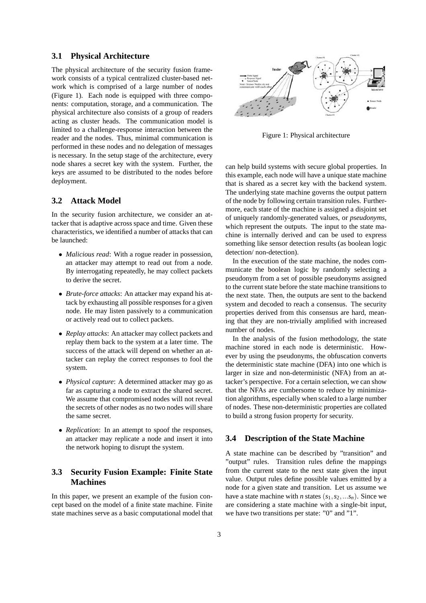#### **3.1 Physical Architecture**

The physical architecture of the security fusion framework consists of a typical centralized cluster-based network which is comprised of a large number of nodes (Figure 1). Each node is equipped with three components: computation, storage, and a communication. The physical architecture also consists of a group of readers acting as cluster heads. The communication model is limited to a challenge-response interaction between the reader and the nodes. Thus, minimal communication is performed in these nodes and no delegation of messages is necessary. In the setup stage of the architecture, every node shares a secret key with the system. Further, the keys are assumed to be distributed to the nodes before deployment.

# **3.2 Attack Model**

In the security fusion architecture, we consider an attacker that is adaptive across space and time. Given these characteristics, we identified a number of attacks that can be launched:

- *Malicious read*: With a rogue reader in possession, an attacker may attempt to read out from a node. By interrogating repeatedly, he may collect packets to derive the secret.
- *Brute-force attacks*: An attacker may expand his attack by exhausting all possible responses for a given node. He may listen passively to a communication or actively read out to collect packets.
- *Replay attacks*: An attacker may collect packets and replay them back to the system at a later time. The success of the attack will depend on whether an attacker can replay the correct responses to fool the system.
- *Physical capture*: A determined attacker may go as far as capturing a node to extract the shared secret. We assume that compromised nodes will not reveal the secrets of other nodes as no two nodes will share the same secret.
- *Replication*: In an attempt to spoof the responses, an attacker may replicate a node and insert it into the network hoping to disrupt the system.

# **3.3 Security Fusion Example: Finite State Machines**

In this paper, we present an example of the fusion concept based on the model of a finite state machine. Finite state machines serve as a basic computational model that



Figure 1: Physical architecture

can help build systems with secure global properties. In this example, each node will have a unique state machine that is shared as a secret key with the backend system. The underlying state machine governs the output pattern of the node by following certain transition rules. Furthermore, each state of the machine is assigned a disjoint set of uniquely randomly-generated values, or *pseudonyms*, which represent the outputs. The input to the state machine is internally derived and can be used to express something like sensor detection results (as boolean logic detection/ non-detection).

In the execution of the state machine, the nodes communicate the boolean logic by randomly selecting a pseudonym from a set of possible pseudonyms assigned to the current state before the state machine transitions to the next state. Then, the outputs are sent to the backend system and decoded to reach a consensus. The security properties derived from this consensus are hard, meaning that they are non-trivially amplified with increased number of nodes.

In the analysis of the fusion methodology, the state machine stored in each node is deterministic. However by using the pseudonyms, the obfuscation converts the deterministic state machine (DFA) into one which is larger in size and non-deterministic (NFA) from an attacker's perspective. For a certain selection, we can show that the NFAs are cumbersome to reduce by minimization algorithms, especially when scaled to a large number of nodes. These non-deterministic properties are collated to build a strong fusion property for security.

# **3.4 Description of the State Machine**

A state machine can be described by "transition" and "output" rules. Transition rules define the mappings from the current state to the next state given the input value. Output rules define possible values emitted by a node for a given state and transition. Let us assume we have a state machine with *n* states  $(s_1, s_2, \ldots, s_n)$ . Since we are considering a state machine with a single-bit input, we have two transitions per state: "0" and "1".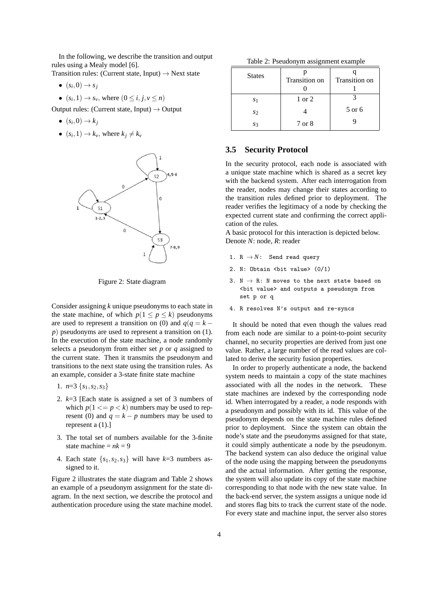In the following, we describe the transition and output rules using a Mealy model [6].

Transition rules: (Current state, Input)  $\rightarrow$  Next state

- $\bullet$   $(s_i,0) \rightarrow s_j$
- $(s_i, 1) \rightarrow s_v$ , where  $(0 \le i, j, v \le n)$

Output rules: (Current state, Input)  $\rightarrow$  Output

- $\bullet$   $(s_i,0) \rightarrow k_j$
- $(s_i, 1) \rightarrow k_v$ , where  $k_j \neq k_v$



Figure 2: State diagram

Consider assigning *k* unique pseudonyms to each state in the state machine, of which  $p(1 \le p \le k)$  pseudonyms are used to represent a transition on (0) and  $q(q = k$ *p*) pseudonyms are used to represent a transition on (1). In the execution of the state machine, a node randomly selects a pseudonym from either set *p* or *q* assigned to the current state. Then it transmits the pseudonym and transitions to the next state using the transition rules. As an example, consider a 3-state finite state machine

- 1.  $n=3$  { $s_1, s_2, s_3$ }
- 2. *k*=3 [Each state is assigned a set of 3 numbers of which  $p(1 \leq p \leq k)$  numbers may be used to represent (0) and  $q = k - p$  numbers may be used to represent a (1).]
- 3. The total set of numbers available for the 3-finite state machine  $= nk = 9$
- 4. Each state  $\{s_1, s_2, s_3\}$  will have  $k=3$  numbers assigned to it.

Figure 2 illustrates the state diagram and Table 2 shows an example of a pseudonym assignment for the state diagram. In the next section, we describe the protocol and authentication procedure using the state machine model.

Table 2: Pseudonym assignment example

| <b>States</b> | Transition on | Transition on |  |
|---------------|---------------|---------------|--|
| S1            | 1 or 2        |               |  |
| S2            |               | 5 or 6        |  |
| S3            | 7 or 8        |               |  |

#### **3.5 Security Protocol**

In the security protocol, each node is associated with a unique state machine which is shared as a secret key with the backend system. After each interrogation from the reader, nodes may change their states according to the transition rules defined prior to deployment. The reader verifies the legitimacy of a node by checking the expected current state and confirming the correct application of the rules.

A basic protocol for this interaction is depicted below. Denote *N*: node, *R*: reader

- 1.  $R \rightarrow N$ : Send read query
- 2. N: Obtain <br/> <br/> <br/> value> (0/1)
- 3.  $N \rightarrow R$ : N moves to the next state based on <bit value> and outputs a pseudonym from set p or q
- 4. R resolves N's output and re-syncs

It should be noted that even though the values read from each node are similar to a point-to-point security channel, no security properties are derived from just one value. Rather, a large number of the read values are collated to derive the security fusion properties.

In order to properly authenticate a node, the backend system needs to maintain a copy of the state machines associated with all the nodes in the network. These state machines are indexed by the corresponding node id. When interrogated by a reader, a node responds with a pseudonym and possibly with its id. This value of the pseudonym depends on the state machine rules defined prior to deployment. Since the system can obtain the node's state and the pseudonyms assigned for that state, it could simply authenticate a node by the pseudonym. The backend system can also deduce the original value of the node using the mapping between the pseudonyms and the actual information. After getting the response, the system will also update its copy of the state machine corresponding to that node with the new state value. In the back-end server, the system assigns a unique node id and stores flag bits to track the current state of the node. For every state and machine input, the server also stores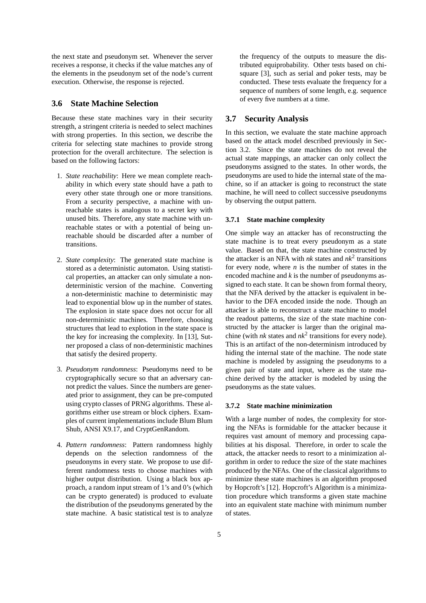the next state and pseudonym set. Whenever the server receives a response, it checks if the value matches any of the elements in the pseudonym set of the node's current execution. Otherwise, the response is rejected.

## **3.6 State Machine Selection**

Because these state machines vary in their security strength, a stringent criteria is needed to select machines with strong properties. In this section, we describe the criteria for selecting state machines to provide strong protection for the overall architecture. The selection is based on the following factors:

- 1. *State reachability*: Here we mean complete reachability in which every state should have a path to every other state through one or more transitions. From a security perspective, a machine with unreachable states is analogous to a secret key with unused bits. Therefore, any state machine with unreachable states or with a potential of being unreachable should be discarded after a number of transitions.
- 2. *State complexity*: The generated state machine is stored as a deterministic automaton. Using statistical properties, an attacker can only simulate a nondeterministic version of the machine. Converting a non-deterministic machine to deterministic may lead to exponential blow up in the number of states. The explosion in state space does not occur for all non-deterministic machines. Therefore, choosing structures that lead to explotion in the state space is the key for increasing the complexity. In [13], Sutner proposed a class of non-deterministic machines that satisfy the desired property.
- 3. *Pseudonym randomness*: Pseudonyms need to be cryptographically secure so that an adversary cannot predict the values. Since the numbers are generated prior to assignment, they can be pre-computed using crypto classes of PRNG algorithms. These algorithms either use stream or block ciphers. Examples of current implementations include Blum Blum Shub, ANSI X9.17, and CryptGenRandom.
- 4. *Pattern randomness*: Pattern randomness highly depends on the selection randomness of the pseudonyms in every state. We propose to use different randomness tests to choose machines with higher output distribution. Using a black box approach, a random input stream of 1's and 0's (which can be crypto generated) is produced to evaluate the distribution of the pseudonyms generated by the state machine. A basic statistical test is to analyze

the frequency of the outputs to measure the distributed equiprobability. Other tests based on chisquare [3], such as serial and poker tests, may be conducted. These tests evaluate the frequency for a sequence of numbers of some length, e.g. sequence of every five numbers at a time.

## **3.7 Security Analysis**

In this section, we evaluate the state machine approach based on the attack model described previously in Section 3.2. Since the state machines do not reveal the actual state mappings, an attacker can only collect the pseudonyms assigned to the states. In other words, the pseudonyms are used to hide the internal state of the machine, so if an attacker is going to reconstruct the state machine, he will need to collect successive pseudonyms by observing the output pattern.

#### **3.7.1 State machine complexity**

One simple way an attacker has of reconstructing the state machine is to treat every pseudonym as a state value. Based on that, the state machine constructed by the attacker is an NFA with *nk* states and *nk*<sup>2</sup> transitions for every node, where  $n$  is the number of states in the encoded machine and *k* is the number of pseudonyms assigned to each state. It can be shown from formal theory, that the NFA derived by the attacker is equivalent in behavior to the DFA encoded inside the node. Though an attacker is able to reconstruct a state machine to model the readout patterns, the size of the state machine constructed by the attacker is larger than the original machine (with  $nk$  states and  $nk^2$  transitions for every node). This is an artifact of the non-determinism introduced by hiding the internal state of the machine. The node state machine is modeled by assigning the pseudonyms to a given pair of state and input, where as the state machine derived by the attacker is modeled by using the pseudonyms as the state values.

#### **3.7.2 State machine minimization**

With a large number of nodes, the complexity for storing the NFAs is formidable for the attacker because it requires vast amount of memory and processing capabilities at his disposal. Therefore, in order to scale the attack, the attacker needs to resort to a minimization algorithm in order to reduce the size of the state machines produced by the NFAs. One of the classical algorithms to minimize these state machines is an algorithm proposed by Hopcroft's [12]. Hopcroft's Algorithm is a minimization procedure which transforms a given state machine into an equivalent state machine with minimum number of states.